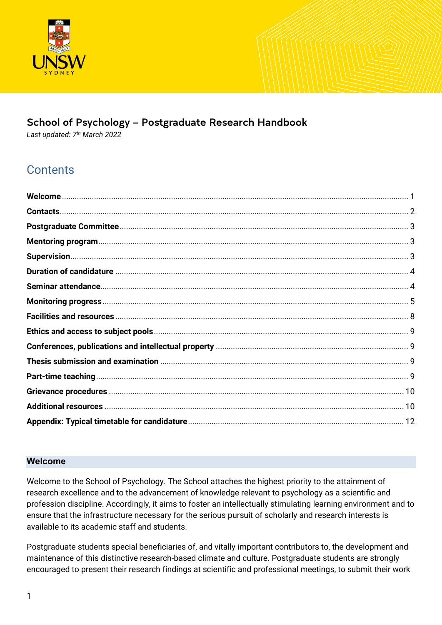

# School of Psychology – Postgraduate Research Handbook

*Last updated: 7th March 2022*

# **Contents**

#### <span id="page-0-0"></span>**Welcome**

Welcome to the School of Psychology. The School attaches the highest priority to the attainment of research excellence and to the advancement of knowledge relevant to psychology as a scientific and profession discipline. Accordingly, it aims to foster an intellectually stimulating learning environment and to ensure that the infrastructure necessary for the serious pursuit of scholarly and research interests is available to its academic staff and students.

Postgraduate students special beneficiaries of, and vitally important contributors to, the development and maintenance of this distinctive research-based climate and culture. Postgraduate students are strongly encouraged to present their research findings at scientific and professional meetings, to submit their work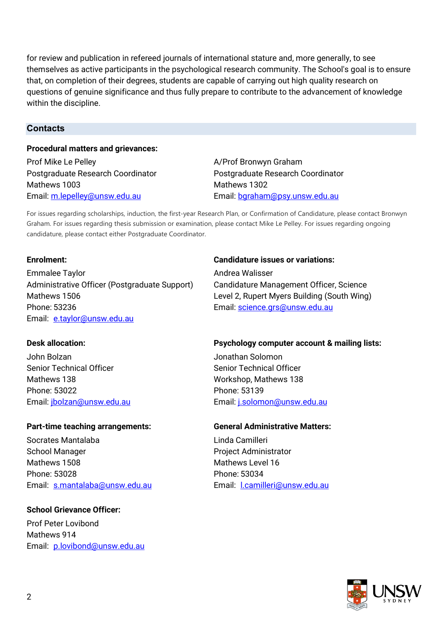for review and publication in refereed journals of international stature and, more generally, to see themselves as active participants in the psychological research community. The School's goal is to ensure that, on completion of their degrees, students are capable of carrying out high quality research on questions of genuine significance and thus fully prepare to contribute to the advancement of knowledge within the discipline.

#### <span id="page-1-0"></span>**Contacts**

#### **Procedural matters and grievances:**

Prof Mike Le Pelley **A/Prof Bronwyn Graham** Mathews 1003 Mathews 1302 Email: [m.lepelley@unsw.edu.au](mailto:m.lepelley@unsw.edu.au) Email: [bgraham@psy.unsw.edu.au](mailto:bgraham@psy.unsw.edu.au)

Postgraduate Research Coordinator Postgraduate Research Coordinator

For issues regarding scholarships, induction, the first-year Research Plan, or Confirmation of Candidature, please contact Bronwyn Graham. For issues regarding thesis submission or examination, please contact Mike Le Pelley. For issues regarding ongoing candidature, please contact either Postgraduate Coordinator.

Emmalee Taylor **Andrea Walisser** Administrative Officer (Postgraduate Support) Candidature Management Officer, Science Mathews 1506 Level 2, Rupert Myers Building (South Wing) Phone: 53236 Email: [science.grs@unsw.edu.au](mailto:science.grs@unsw.edu.au) Email: [e.taylor@unsw.edu.au](mailto:e.taylor@unsw.edu.au)

John Bolzan Jonathan Solomon Senior Technical Officer Senior Technical Officer Mathews 138 Mathews 138 Phone: 53022 Phone: 53139

#### **Part-time teaching arrangements: General Administrative Matters:**

Socrates Mantalaba **Linda Camilleri** School Manager **Project Administrator** Project Administrator Mathews 1508 Mathews Level 16 Phone: 53028 **Phone: 53034** Email: [s.mantalaba@unsw.edu.au](mailto:s.mantalaba@unsw.edu.au) Email: [l.camilleri@unsw.edu.au](mailto:l.camilleri@unsw.edu.au)

#### **School Grievance Officer:**

Prof Peter Lovibond Mathews 914 Email: [p.lovibond@unsw.edu.au](mailto:p.lovibond@unsw.edu.au)

#### **Enrolment: Candidature issues or variations:**

#### **Desk allocation: Psychology computer account & mailing lists:**

Email: [jbolzan@unsw.edu.au](mailto:jbolzan@unsw.edu.au) Charles Email: [j.solomon@unsw.edu.au](mailto:j.solomon@unsw.edu.au)

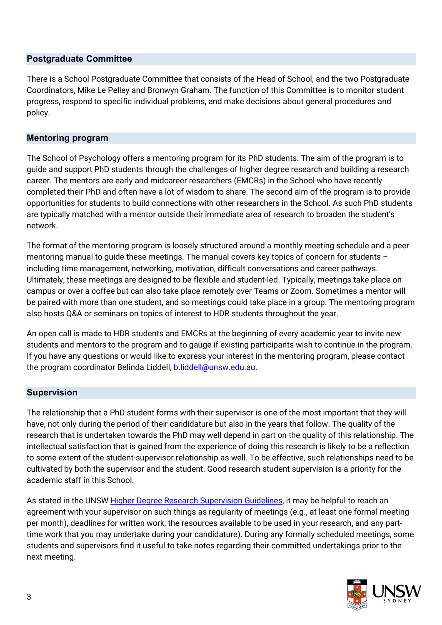#### <span id="page-2-0"></span>**Postgraduate Committee**

There is a School Postgraduate Committee that consists of the Head of School, and the two Postgraduate Coordinators, Mike Le Pelley and Bronwyn Graham. The function of this Committee is to monitor student progress, respond to specific individual problems, and make decisions about general procedures and policy.

#### <span id="page-2-1"></span>**Mentoring program**

The School of Psychology offers a mentoring program for its PhD students. The aim of the program is to guide and support PhD students through the challenges of higher degree research and building a research career. The mentors are early and midcareer researchers (EMCRs) in the School who have recently completed their PhD and often have a lot of wisdom to share. The second aim of the program is to provide opportunities for students to build connections with other researchers in the School. As such PhD students are typically matched with a mentor outside their immediate area of research to broaden the student's network.

The format of the mentoring program is loosely structured around a monthly meeting schedule and a peer mentoring manual to guide these meetings. The manual covers key topics of concern for students – including time management, networking, motivation, difficult conversations and career pathways. Ultimately, these meetings are designed to be flexible and student-led. Typically, meetings take place on campus or over a coffee but can also take place remotely over Teams or Zoom. Sometimes a mentor will be paired with more than one student, and so meetings could take place in a group. The mentoring program also hosts Q&A or seminars on topics of interest to HDR students throughout the year.

An open call is made to HDR students and EMCRs at the beginning of every academic year to invite new students and mentors to the program and to gauge if existing participants wish to continue in the program. If you have any questions or would like to express your interest in the mentoring program, please contact the program coordinator Belinda Liddell, [b.liddell@unsw.edu.au.](mailto:b.liddell@unsw.edu.au)

#### <span id="page-2-2"></span>**Supervision**

The relationship that a PhD student forms with their supervisor is one of the most important that they will have, not only during the period of their candidature but also in the years that follow. The quality of the research that is undertaken towards the PhD may well depend in part on the quality of this relationship. The intellectual satisfaction that is gained from the experience of doing this research is likely to be a reflection to some extent of the student-supervisor relationship as well. To be effective, such relationships need to be cultivated by both the supervisor and the student. Good research student supervision is a priority for the academic staff in this School.

As stated in the UNSW [Higher Degree Research Supervision Guidelines,](https://www.gs.unsw.edu.au/policy/hdrsupervisionguide.html) it may be helpful to reach an agreement with your supervisor on such things as regularity of meetings (e.g., at least one formal meeting per month), deadlines for written work, the resources available to be used in your research, and any parttime work that you may undertake during your candidature). During any formally scheduled meetings, some students and supervisors find it useful to take notes regarding their committed undertakings prior to the next meeting.

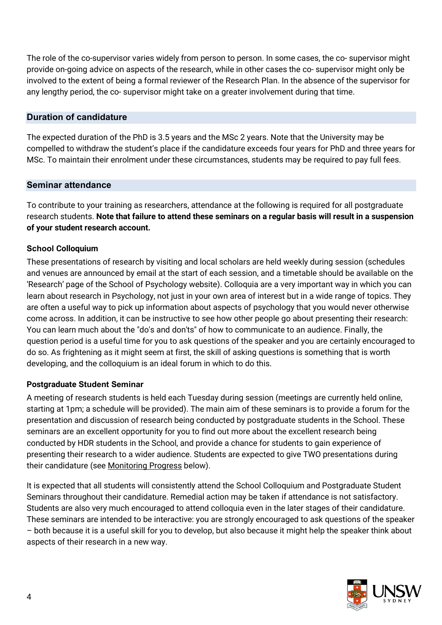The role of the co-supervisor varies widely from person to person. In some cases, the co- supervisor might provide on-going advice on aspects of the research, while in other cases the co- supervisor might only be involved to the extent of being a formal reviewer of the Research Plan. In the absence of the supervisor for any lengthy period, the co- supervisor might take on a greater involvement during that time.

# <span id="page-3-0"></span>**Duration of candidature**

The expected duration of the PhD is 3.5 years and the MSc 2 years. Note that the University may be compelled to withdraw the student's place if the candidature exceeds four years for PhD and three years for MSc. To maintain their enrolment under these circumstances, students may be required to pay full fees.

#### <span id="page-3-1"></span>**Seminar attendance**

To contribute to your training as researchers, attendance at the following is required for all postgraduate research students. **Note that failure to attend these seminars on a regular basis will result in a suspension of your student research account.**

#### **School Colloquium**

These presentations of research by visiting and local scholars are held weekly during session (schedules and venues are announced by email at the start of each session, and a timetable should be available on the 'Research' page of the School of Psychology website). Colloquia are a very important way in which you can learn about research in Psychology, not just in your own area of interest but in a wide range of topics. They are often a useful way to pick up information about aspects of psychology that you would never otherwise come across. In addition, it can be instructive to see how other people go about presenting their research: You can learn much about the "do's and don'ts" of how to communicate to an audience. Finally, the question period is a useful time for you to ask questions of the speaker and you are certainly encouraged to do so. As frightening as it might seem at first, the skill of asking questions is something that is worth developing, and the colloquium is an ideal forum in which to do this.

# **Postgraduate Student Seminar**

A meeting of research students is held each Tuesday during session (meetings are currently held online, starting at 1pm; a schedule will be provided). The main aim of these seminars is to provide a forum for the presentation and discussion of research being conducted by postgraduate students in the School. These seminars are an excellent opportunity for you to find out more about the excellent research being conducted by HDR students in the School, and provide a chance for students to gain experience of presenting their research to a wider audience. Students are expected to give TWO presentations during their candidature (see Monitoring Progress below).

It is expected that all students will consistently attend the School Colloquium and Postgraduate Student Seminars throughout their candidature. Remedial action may be taken if attendance is not satisfactory. Students are also very much encouraged to attend colloquia even in the later stages of their candidature. These seminars are intended to be interactive: you are strongly encouraged to ask questions of the speaker – both because it is a useful skill for you to develop, but also because it might help the speaker think about aspects of their research in a new way.

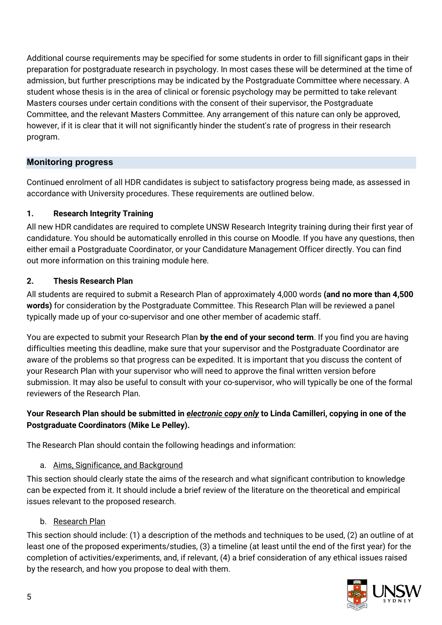Additional course requirements may be specified for some students in order to fill significant gaps in their preparation for postgraduate research in psychology. In most cases these will be determined at the time of admission, but further prescriptions may be indicated by the Postgraduate Committee where necessary. A student whose thesis is in the area of clinical or forensic psychology may be permitted to take relevant Masters courses under certain conditions with the consent of their supervisor, the Postgraduate Committee, and the relevant Masters Committee. Any arrangement of this nature can only be approved, however, if it is clear that it will not significantly hinder the student's rate of progress in their research program.

# <span id="page-4-0"></span>**Monitoring progress**

Continued enrolment of all HDR candidates is subject to satisfactory progress being made, as assessed in accordance with University procedures. These requirements are outlined below.

# **1. Research Integrity Training**

All new HDR candidates are required to complete UNSW Research Integrity training during their first year of candidature. You should be automatically enrolled in this course on Moodle. If you have any questions, then either email a Postgraduate Coordinator, or your [Candidature Management Officer](mailto:grs.science@unsw.edu.au) directly. You can find out more information on this training module [here.](https://research.unsw.edu.au/supervisors-and-higher-degree-researchers-online-research-integrity-training)

# **2. Thesis Research Plan**

All students are required to submit a Research Plan of approximately 4,000 words **(and no more than 4,500 words)** for consideration by the Postgraduate Committee. This Research Plan will be reviewed a panel typically made up of your co-supervisor and one other member of academic staff.

You are expected to submit your Research Plan **by the end of your second term**. If you find you are having difficulties meeting this deadline, make sure that your supervisor and the Postgraduate Coordinator are aware of the problems so that progress can be expedited. It is important that you discuss the content of your Research Plan with your supervisor who will need to approve the final written version before submission. It may also be useful to consult with your co-supervisor, who will typically be one of the formal reviewers of the Research Plan.

# **Your Research Plan should be submitted in** *electronic copy only* **to Linda Camilleri, copying in one of the Postgraduate Coordinators (Mike Le Pelley).**

The Research Plan should contain the following headings and information:

# a. Aims, Significance, and Background

This section should clearly state the aims of the research and what significant contribution to knowledge can be expected from it. It should include a brief review of the literature on the theoretical and empirical issues relevant to the proposed research.

# b. Research Plan

This section should include: (1) a description of the methods and techniques to be used, (2) an outline of at least one of the proposed experiments/studies, (3) a timeline (at least until the end of the first year) for the completion of activities/experiments, and, if relevant, (4) a brief consideration of any ethical issues raised by the research, and how you propose to deal with them.

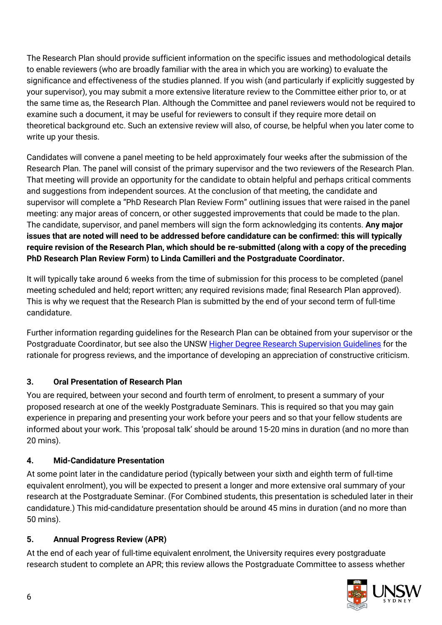The Research Plan should provide sufficient information on the specific issues and methodological details to enable reviewers (who are broadly familiar with the area in which you are working) to evaluate the significance and effectiveness of the studies planned. If you wish (and particularly if explicitly suggested by your supervisor), you may submit a more extensive literature review to the Committee either prior to, or at the same time as, the Research Plan. Although the Committee and panel reviewers would not be required to examine such a document, it may be useful for reviewers to consult if they require more detail on theoretical background etc. Such an extensive review will also, of course, be helpful when you later come to write up your thesis.

Candidates will convene a panel meeting to be held approximately four weeks after the submission of the Research Plan. The panel will consist of the primary supervisor and the two reviewers of the Research Plan. That meeting will provide an opportunity for the candidate to obtain helpful and perhaps critical comments and suggestions from independent sources. At the conclusion of that meeting, the candidate and supervisor will complete a "PhD Research Plan Review Form" outlining issues that were raised in the panel meeting: any major areas of concern, or other suggested improvements that could be made to the plan. The candidate, supervisor, and panel members will sign the form acknowledging its contents. **Any major issues that are noted will need to be addressed before candidature can be confirmed: this will typically require revision of the Research Plan, which should be re-submitted (along with a copy of the preceding PhD Research Plan Review Form) to Linda Camilleri and the Postgraduate Coordinator.**

It will typically take around 6 weeks from the time of submission for this process to be completed (panel meeting scheduled and held; report written; any required revisions made; final Research Plan approved). This is why we request that the Research Plan is submitted by the end of your second term of full-time candidature.

Further information regarding guidelines for the Research Plan can be obtained from your supervisor or the Postgraduate Coordinator, but see also the UNS[W Higher Degree Research Supervision Guidelines](https://www.gs.unsw.edu.au/policy/hdrsupervisionguide.html) for the rationale for progress reviews, and the importance of developing an appreciation of constructive criticism.

# **3. Oral Presentation of Research Plan**

You are required, between your second and fourth term of enrolment, to present a summary of your proposed research at one of the weekly Postgraduate Seminars. This is required so that you may gain experience in preparing and presenting your work before your peers and so that your fellow students are informed about your work. This 'proposal talk' should be around 15-20 mins in duration (and no more than 20 mins).

# **4. Mid-Candidature Presentation**

At some point later in the candidature period (typically between your sixth and eighth term of full-time equivalent enrolment), you will be expected to present a longer and more extensive oral summary of your research at the Postgraduate Seminar. (For Combined students, this presentation is scheduled later in their candidature.) This mid-candidature presentation should be around 45 mins in duration (and no more than 50 mins).

# **5. Annual Progress Review (APR)**

At the end of each year of full-time equivalent enrolment, the University requires every postgraduate research student to complete an APR; this review allows the Postgraduate Committee to assess whether

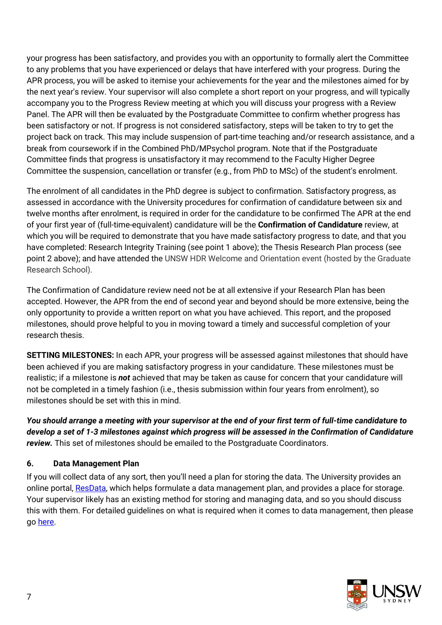your progress has been satisfactory, and provides you with an opportunity to formally alert the Committee to any problems that you have experienced or delays that have interfered with your progress. During the APR process, you will be asked to itemise your achievements for the year and the milestones aimed for by the next year's review. Your supervisor will also complete a short report on your progress, and will typically accompany you to the Progress Review meeting at which you will discuss your progress with a Review Panel. The APR will then be evaluated by the Postgraduate Committee to confirm whether progress has been satisfactory or not. If progress is not considered satisfactory, steps will be taken to try to get the project back on track. This may include suspension of part-time teaching and/or research assistance, and a break from coursework if in the Combined PhD/MPsychol program. Note that if the Postgraduate Committee finds that progress is unsatisfactory it may recommend to the Faculty Higher Degree Committee the suspension, cancellation or transfer (e.g., from PhD to MSc) of the student's enrolment.

The enrolment of all candidates in the PhD degree is subject to confirmation. Satisfactory progress, as assessed in accordance with the University procedures for confirmation of candidature between six and twelve months after enrolment, is required in order for the candidature to be confirmed The APR at the end of your first year of (full-time-equivalent) candidature will be the **Confirmation of Candidature** review, at which you will be required to demonstrate that you have made satisfactory progress to date, and that you have completed: Research Integrity Training (see point 1 above); the Thesis Research Plan process (see point 2 above); and have attended the UNSW HDR Welcome and Orientation event (hosted by the Graduate Research School).

The Confirmation of Candidature review need not be at all extensive if your Research Plan has been accepted. However, the APR from the end of second year and beyond should be more extensive, being the only opportunity to provide a written report on what you have achieved. This report, and the proposed milestones, should prove helpful to you in moving toward a timely and successful completion of your research thesis.

**SETTING MILESTONES:** In each APR, your progress will be assessed against milestones that should have been achieved if you are making satisfactory progress in your candidature. These milestones must be realistic; if a milestone is *not* achieved that may be taken as cause for concern that your candidature will not be completed in a timely fashion (i.e., thesis submission within four years from enrolment), so milestones should be set with this in mind.

*You should arrange a meeting with your supervisor at the end of your first term of full-time candidature to develop a set of 1-3 milestones against which progress will be assessed in the Confirmation of Candidature review.* This set of milestones should be emailed to the Postgraduate Coordinators.

# **6. Data Management Plan**

If you will collect data of any sort, then you'll need a plan for storing the data. The University provides an online portal, [ResData,](https://resdata.unsw.edu.au/pages/authenticate.faces) which helps formulate a data management plan, and provides a place for storage. Your supervisor likely has an existing method for storing and managing data, and so you should discuss this with them. For detailed guidelines on what is required when it comes to data management, then please go [here.](https://research.unsw.edu.au/research-data-management)

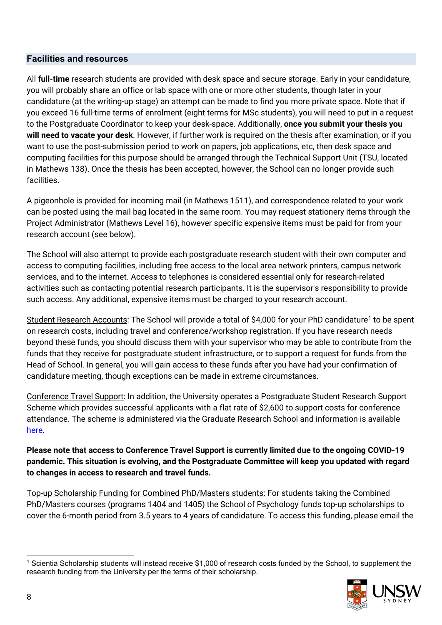#### <span id="page-7-0"></span>**Facilities and resources**

All **full-time** research students are provided with desk space and secure storage. Early in your candidature, you will probably share an office or lab space with one or more other students, though later in your candidature (at the writing-up stage) an attempt can be made to find you more private space. Note that if you exceed 16 full-time terms of enrolment (eight terms for MSc students), you will need to put in a request to the Postgraduate Coordinator to keep your desk-space. Additionally, **once you submit your thesis you will need to vacate your desk**. However, if further work is required on the thesis after examination, or if you want to use the post-submission period to work on papers, job applications, etc, then desk space and computing facilities for this purpose should be arranged through the Technical Support Unit (TSU, located in Mathews 138). Once the thesis has been accepted, however, the School can no longer provide such facilities.

A pigeonhole is provided for incoming mail (in Mathews 1511), and correspondence related to your work can be posted using the mail bag located in the same room. You may request stationery items through the Project Administrator (Mathews Level 16), however specific expensive items must be paid for from your research account (see below).

The School will also attempt to provide each postgraduate research student with their own computer and access to computing facilities, including free access to the local area network printers, campus network services, and to the internet. Access to telephones is considered essential only for research-related activities such as contacting potential research participants. It is the supervisor's responsibility to provide such access. Any additional, expensive items must be charged to your research account.

Student Research Accounts: The School will provide a total of \$4,000 for your PhD candidature<sup>[1](#page-7-1)</sup> to be spent on research costs, including travel and conference/workshop registration. If you have research needs beyond these funds, you should discuss them with your supervisor who may be able to contribute from the funds that they receive for postgraduate student infrastructure, or to support a request for funds from the Head of School. In general, you will gain access to these funds after you have had your confirmation of candidature meeting, though exceptions can be made in extreme circumstances.

Conference Travel Support: In addition, the University operates a Postgraduate Student Research Support Scheme which provides successful applicants with a flat rate of \$2,600 to support costs for conference attendance. The scheme is administered via the Graduate Research School and information is available [here.](https://research.unsw.edu.au/scholarships-and-financial-support)

**Please note that access to Conference Travel Support is currently limited due to the ongoing COVID-19 pandemic. This situation is evolving, and the Postgraduate Committee will keep you updated with regard to changes in access to research and travel funds.**

Top-up Scholarship Funding for Combined PhD/Masters students: For students taking the Combined PhD/Masters courses (programs 1404 and 1405) the School of Psychology funds top-up scholarships to cover the 6-month period from 3.5 years to 4 years of candidature. To access this funding, please email the

<span id="page-7-1"></span><sup>1</sup> Scientia Scholarship students will instead receive \$1,000 of research costs funded by the School, to supplement the research funding from the University per the terms of their scholarship.



-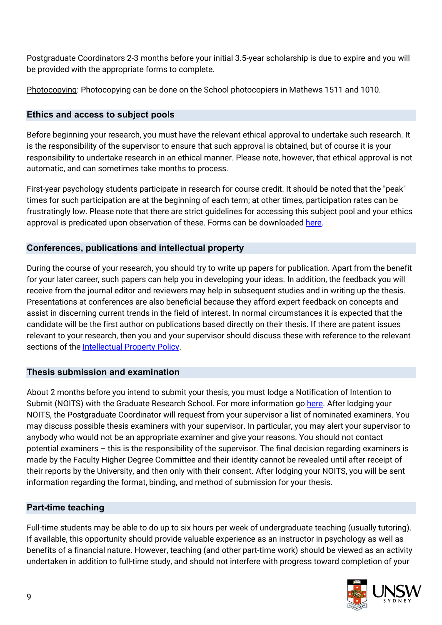Postgraduate Coordinators 2-3 months before your initial 3.5-year scholarship is due to expire and you will be provided with the appropriate forms to complete.

Photocopying: Photocopying can be done on the School photocopiers in Mathews 1511 and 1010.

# <span id="page-8-0"></span>**Ethics and access to subject pools**

Before beginning your research, you must have the relevant ethical approval to undertake such research. It is the responsibility of the supervisor to ensure that such approval is obtained, but of course it is your responsibility to undertake research in an ethical manner. Please note, however, that ethical approval is not automatic, and can sometimes take months to process.

First-year psychology students participate in research for course credit. It should be noted that the "peak" times for such participation are at the beginning of each term; at other times, participation rates can be frustratingly low. Please note that there are strict guidelines for accessing this subject pool and your ethics approval is predicated upon observation of these. Forms can be downloaded [here.](http://www.psy.unsw.edu.au/research/research-resources)

# <span id="page-8-1"></span>**Conferences, publications and intellectual property**

During the course of your research, you should try to write up papers for publication. Apart from the benefit for your later career, such papers can help you in developing your ideas. In addition, the feedback you will receive from the journal editor and reviewers may help in subsequent studies and in writing up the thesis. Presentations at conferences are also beneficial because they afford expert feedback on concepts and assist in discerning current trends in the field of interest. In normal circumstances it is expected that the candidate will be the first author on publications based directly on their thesis. If there are patent issues relevant to your research, then you and your supervisor should discuss these with reference to the relevant sections of the [Intellectual Property Policy.](https://www.gs.unsw.edu.au/policy/ippolicy.html)

# <span id="page-8-2"></span>**Thesis submission and examination**

About 2 months before you intend to submit your thesis, you must lodge a Notification of Intention to Submit (NOITS) with the Graduate Research School. For more information go [here.](https://research.unsw.edu.au/before-thesis-submission) After lodging your NOITS, the Postgraduate Coordinator will request from your supervisor a list of nominated examiners. You may discuss possible thesis examiners with your supervisor. In particular, you may alert your supervisor to anybody who would not be an appropriate examiner and give your reasons. You should not contact potential examiners – this is the responsibility of the supervisor. The final decision regarding examiners is made by the Faculty Higher Degree Committee and their identity cannot be revealed until after receipt of their reports by the University, and then only with their consent. After lodging your NOITS, you will be sent information regarding the format, binding, and method of submission for your thesis.

# <span id="page-8-3"></span>**Part-time teaching**

Full-time students may be able to do up to six hours per week of undergraduate teaching (usually tutoring). If available, this opportunity should provide valuable experience as an instructor in psychology as well as benefits of a financial nature. However, teaching (and other part-time work) should be viewed as an activity undertaken in addition to full-time study, and should not interfere with progress toward completion of your

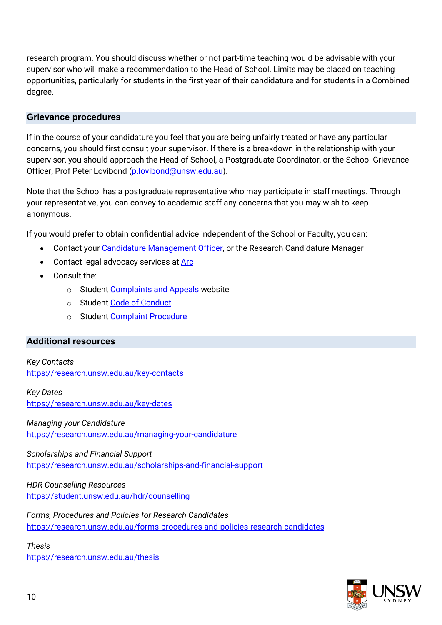research program. You should discuss whether or not part-time teaching would be advisable with your supervisor who will make a recommendation to the Head of School. Limits may be placed on teaching opportunities, particularly for students in the first year of their candidature and for students in a Combined degree.

#### <span id="page-9-0"></span>**Grievance procedures**

If in the course of your candidature you feel that you are being unfairly treated or have any particular concerns, you should first consult your supervisor. If there is a breakdown in the relationship with your supervisor, you should approach the Head of School, a Postgraduate Coordinator, or the School Grievance Officer, Prof Peter Lovibond [\(p.lovibond@unsw.edu.au\)](mailto:p.lovibond@unsw.edu.au).

Note that the School has a postgraduate representative who may participate in staff meetings. Through your representative, you can convey to academic staff any concerns that you may wish to keep anonymous.

If you would prefer to obtain confidential advice independent of the School or Faculty, you can:

- Contact your [Candidature Management Officer,](https://research.unsw.edu.au/graduate-research-school-contacts) or the Research Candidature Manager
- Contact legal advocacy services at **Arc**
- Consult the:
	- o Studen[t Complaints and Appeals](https://student.unsw.edu.au/complaint) website
	- o Studen[t Code of Conduct](https://www.gs.unsw.edu.au/policy/studentcodepolicy.html)
	- o Studen[t Complaint Procedure](https://www.gs.unsw.edu.au/policy/studentcomplaintproc.html)

#### <span id="page-9-1"></span>**Additional resources**

*Key Contacts* <https://research.unsw.edu.au/key-contacts>

# *Key Dates*

<https://research.unsw.edu.au/key-dates>

*Managing your Candidature* <https://research.unsw.edu.au/managing-your-candidature>

*Scholarships and Financial Support* <https://research.unsw.edu.au/scholarships-and-financial-support>

*HDR Counselling Resources* <https://student.unsw.edu.au/hdr/counselling>

*Forms, Procedures and Policies for Research Candidates* <https://research.unsw.edu.au/forms-procedures-and-policies-research-candidates>

*Thesis* <https://research.unsw.edu.au/thesis>

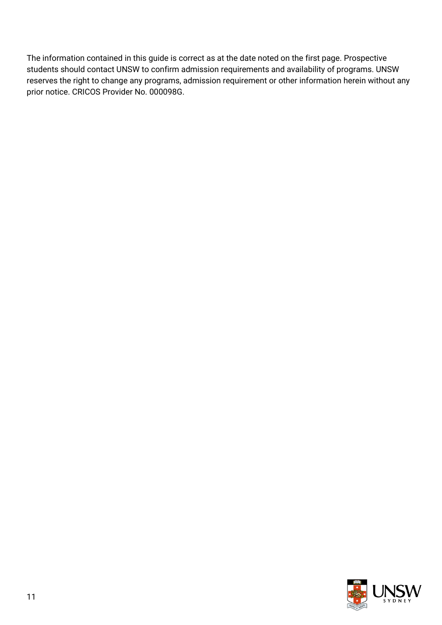The information contained in this guide is correct as at the date noted on the first page. Prospective students should contact UNSW to confirm admission requirements and availability of programs. UNSW reserves the right to change any programs, admission requirement or other information herein without any prior notice. CRICOS Provider No. 000098G.